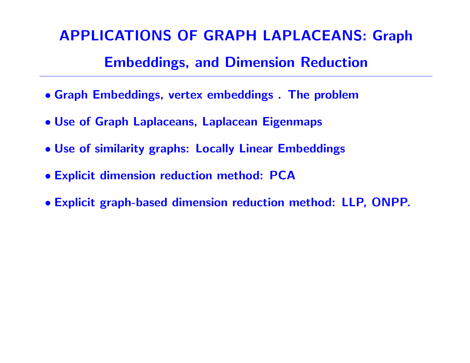# APPLICATIONS OF GRAPH LAPLACEANS: Graph Embeddings, and Dimension Reduction

- Graph Embeddings, vertex embeddings . The problem
- Use of Graph Laplaceans, Laplacean Eigenmaps
- Use of similarity graphs: Locally Linear Embeddings
- Explicit dimension reduction method: PCA
- Explicit graph-based dimension reduction method: LLP, ONPP.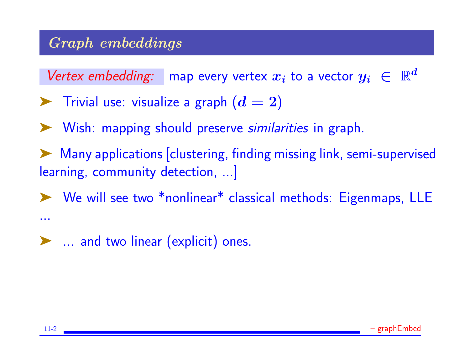## Graph embeddings

Vertex embedding: map every vertex  $x_i$  to a vector  $y_i \in$  $\mathbb{R}^d$ 

- $\blacktriangleright$  Trivial use: visualize a graph  $(d = 2)$
- ➤ Wish: mapping should preserve similarities in graph.
- Many applications [clustering, finding missing link, semi-supervised learning, community detection, ...]
- ➤ We will see two \*nonlinear\* classical methods: Eigenmaps, LLE
- ➤ ... and two linear (explicit) ones.

...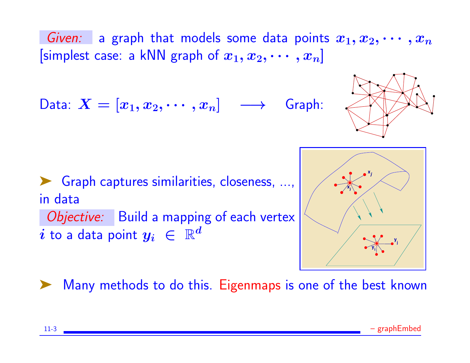Given: a graph that models some data points  $x_1, x_2, \cdots, x_n$ [simplest case: a kNN graph of  $x_1, x_2, \cdots, x_n$ ]

Data:  $X = [x_1, x_2, \cdots, x_n] \longrightarrow$  Graph:



➤ Graph captures similarities, closeness, ..., in data Objective: Build a mapping of each vertex  $i$  to a data point  $y_i~\in~\mathbb{R}^d$ 



Many methods to do this. Eigenmaps is one of the best known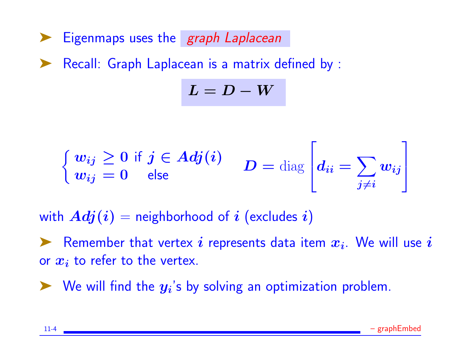▶ Eigenmaps uses the *graph Laplacean* 

Recall: Graph Laplacean is a matrix defined by :

 $L = D - W$ 

$$
\begin{cases} w_{ij} \geq 0 \text{ if } j \in Adj(i) \\ w_{ij} = 0 \text{ else} \end{cases} D = \text{diag} \left[ d_{ii} = \sum_{j \neq i} w_{ij} \right]
$$

with  $Adj(i)$  = neighborhood of i (excludes i)

Extember that vertex i represents data item  $x_i$ . We will use i or  $x_i$  to refer to the vertex.

 $\blacktriangleright$  We will find the  $y_i$ 's by solving an optimization problem.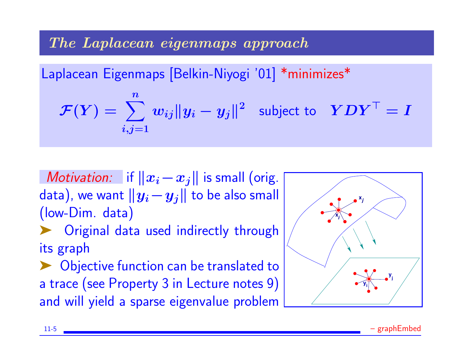The Laplacean eigenmaps approach

Laplacean Eigenmaps [Belkin-Niyogi '01] \*minimizes\*

$$
\mathcal{F}(Y) = \sum_{i,j=1}^{n} w_{ij} ||y_i - y_j||^2 \text{ subject to } YDY^{\top} = I
$$

*Motivation:* if  $||x_i-x_j||$  is small (orig. data), we want  $||y_i-y_j||$  to be also small (low-Dim. data) Original data used indirectly through

its graph

➤ Objective function can be translated to a trace (see Property 3 in Lecture notes 9) and will yield a sparse eigenvalue problem

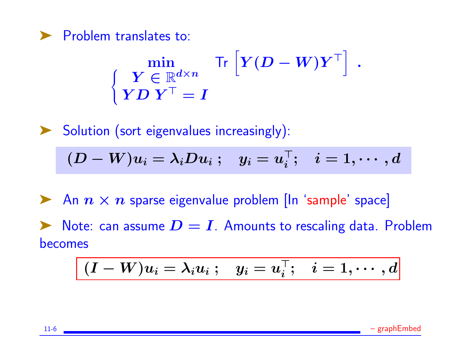

$$
\left\{\begin{aligned}&\min_{\begin{array}{c} \boldsymbol{Y} \in \mathbb{R}^{d \times n}\\ \boldsymbol{Y}\boldsymbol{D}\ \boldsymbol{Y}^{\top}=\boldsymbol{I}\end{array}} \mathsf{Tr}\left[\boldsymbol{Y}(\boldsymbol{D}-\boldsymbol{W})\boldsymbol{Y}^{\top}\right]\ .\end{aligned}\right.
$$

➤ Solution (sort eigenvalues increasingly):

$$
(D-W)u_i=\lambda_iDu_i\ ;\quad y_i=u_i^\top;\quad i=1,\cdots,d
$$

An  $n \times n$  sparse eigenvalue problem [In 'sample' space]  $\blacktriangleright$  Note: can assume  $D = I$ . Amounts to rescaling data. Problem becomes

$$
(\boldsymbol I-\boldsymbol W)\boldsymbol u_i=\lambda_i\boldsymbol u_i\ ;\quad \boldsymbol y_i=\boldsymbol u_i^\top;\quad i=1,\cdots,d
$$

11-6 – graphEmbed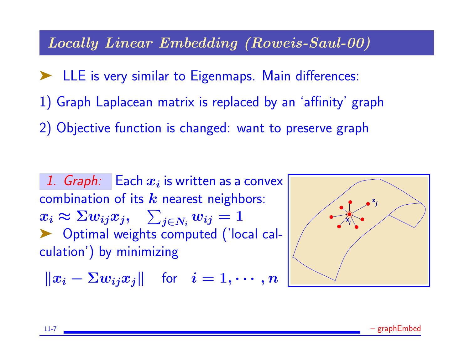#### Locally Linear Embedding (Roweis-Saul-00)

➤ LLE is very similar to Eigenmaps. Main differences: 1) Graph Laplacean matrix is replaced by an 'affinity' graph 2) Objective function is changed: want to preserve graph

1.  $Graph:$  Each  $x_i$  is written as a convex combination of its  $k$  nearest neighbors:  $x_i \thickapprox \Sigma w_{ij} x_j, \quad \sum_{j \in N_i} w_{ij} = 1$ ▶ Optimal weights computed ('local calculation') by minimizing

$$
\|x_i-\Sigma w_{ij}x_j\|\quad\text{for}\quad i=1,\cdots,n
$$

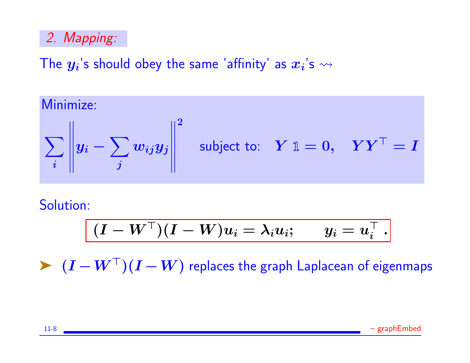## 2. Mapping:

The  $\boldsymbol{y_{i}}$ 's should obey the same 'affinity' as  $\boldsymbol{x_{i}}$ 's  $\rightsquigarrow$ 

Minimize:

$$
\sum_{i} \left\| y_i - \sum_{j} w_{ij} y_j \right\|^2 \quad \text{subject to:} \quad Y \mathbb{1} = 0, \quad Y Y^{\top} = I
$$

Solution:

$$
(I - W^\top)(I - W)u_i = \lambda_i u_i; \qquad y_i = u_i^\top~.
$$

 $\blacktriangleright$   $(I - W^{\top})(I - W)$  replaces the graph Laplacean of eigenmaps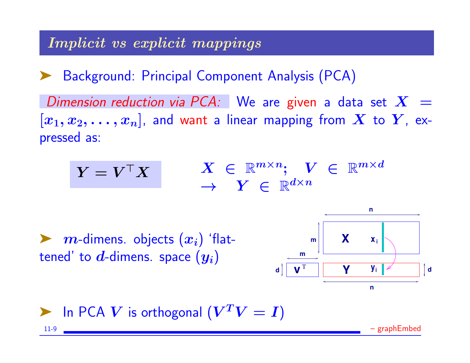## Implicit vs explicit mappings

➤ Background: Principal Component Analysis (PCA)

Dimension reduction via PCA: We are given a data set  $X =$  $[x_1, x_2, \ldots, x_n]$ , and want a linear mapping from  $X$  to  $Y$ , expressed as:

$$
\begin{array}{ccc} Y = V^\top X & & X \ \in \ \mathbb{R}^{m \times n}; \quad V \ \in \ \mathbb{R}^{m \times d} \\ & \to & Y \ \in \ \mathbb{R}^{d \times n} \end{array}
$$

 $\blacktriangleright$   $m$ -dimens. objects  $(x_i)$  'flattened' to  $d$ -dimens. space  $(y_i)$ 



**Example 1** In PCA V is orthogonal  $(V^T V = I)$ 11-9 – graphEmbed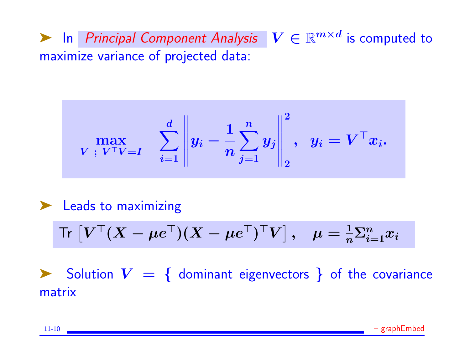**Exercise** L<sub>n</sub> Principal Component Analysis  $V \in \mathbb{R}^{m \times d}$  is computed to maximize variance of projected data:

$$
\max_{\boldsymbol{V}\; ;\; \boldsymbol{V}^{\top} \boldsymbol{V} = \boldsymbol{I}} \quad \sum_{i=1}^d \left\| y_i - \frac{1}{n} \sum_{j=1}^n y_j \right\|_2^2, \ \ y_i = \boldsymbol{V}^{\top} x_i.
$$

➤ Leads to maximizing

$$
\mathsf{Tr}\,\left[\pmb{V}^\top(\pmb{X}-\pmb{\mu} \pmb{e}^\top)(\pmb{X}-\pmb{\mu} \pmb{e}^\top)^\top \pmb{V}\right],\quad \pmb{\mu}=\tfrac{1}{n}\pmb{\Sigma}_{i=1}^n\pmb{x}_i
$$

 $\triangleright$  Solution  $V = \{$  dominant eigenvectors  $\}$  of the covariance matrix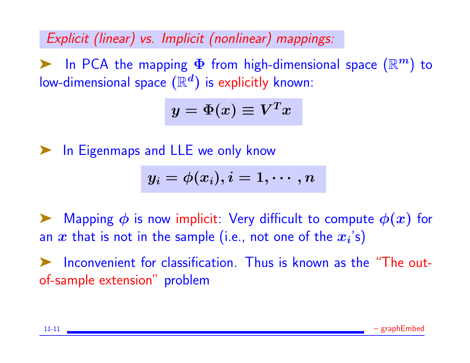Explicit (linear) vs. Implicit (nonlinear) mappings:

In PCA the mapping  $\Phi$  from high-dimensional space  $(\mathbb{R}^m)$  to low-dimensional space  $(\mathbb{R}^d)$  is explicitly known:

$$
y=\Phi(x)\equiv V^Tx
$$

In Eigenmaps and LLE we only know

$$
y_i=\phi(x_i), i=1,\cdots,n
$$

 $\blacktriangleright$  Mapping  $\phi$  is now implicit: Very difficult to compute  $\phi(x)$  for an  $\bm{x}$  that is not in the sample (i.e., not one of the  $\bm{x_i}$ 's)

➤ Inconvenient for classification. Thus is known as the "The outof-sample extension" problem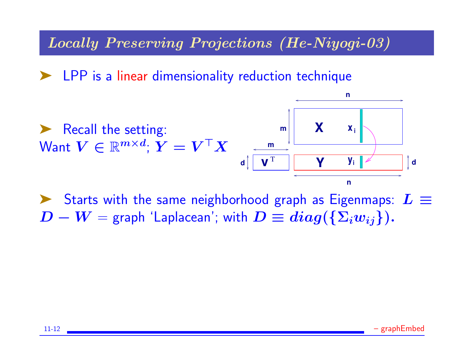#### Locally Preserving Projections (He-Niyogi-03)

LPP is a linear dimensionality reduction technique



► Starts with the same neighborhood graph as Eigenmaps:  $L \equiv$  $D - W =$  graph 'Laplacean'; with  $D \equiv diag(\{\Sigma_i w_{ij}\})$ .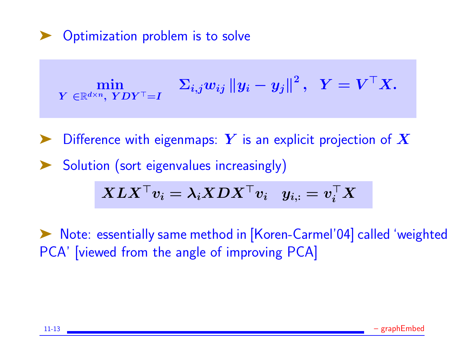#### Optimization problem is to solve

$$
\min_{\text{$Y \in \mathbb{R}^{d \times n}, \; YDY^\top = I$}} \quad \Sigma_{i,j} w_{ij} \left\|y_i - y_j\right\|^2, \;\; Y = V^\top X.
$$

Difference with eigenmaps: Y is an explicit projection of  $X$ Solution (sort eigenvalues increasingly)

$$
\boldsymbol{X L X^\top v_i} = \boldsymbol{\lambda_i X D X^\top v_i} \quad y_{i,:} = \boldsymbol{v_i^\top X}
$$

➤ Note: essentially same method in [Koren-Carmel'04] called 'weighted PCA' [viewed from the angle of improving PCA]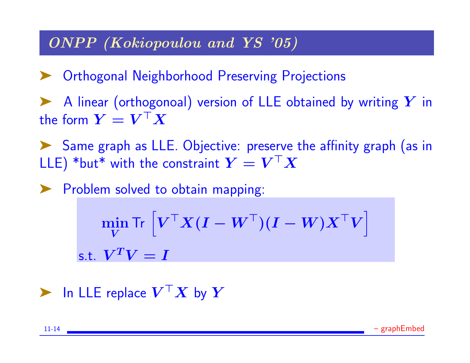## ONPP (Kokiopoulou and YS '05)

▶ Orthogonal Neighborhood Preserving Projections

 $\blacktriangleright$  A linear (orthogonoal) version of LLE obtained by writing Y in the form  $\boldsymbol{Y} = \boldsymbol{V}^\top \boldsymbol{X}$ 

➤ Same graph as LLE. Objective: preserve the affinity graph (as in LLE)  $^*$ but $^*$  with the constraint  $\boldsymbol{Y} = \boldsymbol{V}^\top \boldsymbol{X}$ 

▶ Problem solved to obtain mapping:

$$
\min_{\mathbf{V}} \text{Tr}\left[\mathbf{V}^{\top}\mathbf{X}(\mathbf{I} - \mathbf{W}^{\top})(\mathbf{I} - \mathbf{W})\mathbf{X}^{\top}\mathbf{V}\right]
$$
  
s.t. 
$$
\mathbf{V}^T\mathbf{V} = \mathbf{I}
$$

 $\blacktriangleright$  In LLE replace  $\bm{V}^\top \bm{X}$  by  $\bm{Y}$